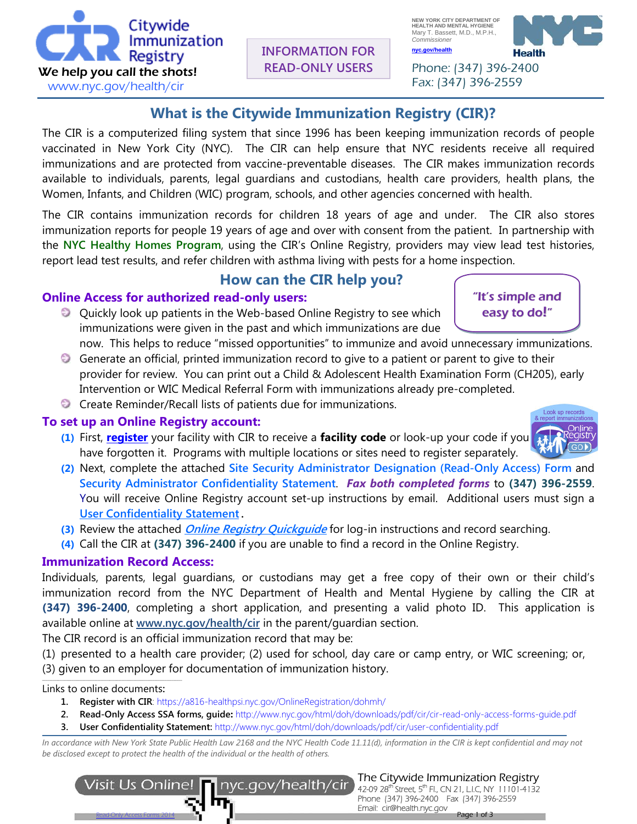**INFORMATION FOR READ-ONLY USERS**

**What is the Citywide Immunization Registry (CIR)?**

The CIR is a computerized filing system that since 1996 has been keeping immunization records of people vaccinated in New York City (NYC). The CIR can help ensure that NYC residents receive all required immunizations and are protected from vaccine-preventable diseases. The CIR makes immunization records available to individuals, parents, legal guardians and custodians, health care providers, health plans, the Women, Infants, and Children (WIC) program, schools, and other agencies concerned with health.

The CIR contains immunization records for children 18 years of age and under. The CIR also stores immunization reports for people 19 years of age and over with consent from the patient. In partnership with the **NYC Healthy Homes Program**, using the CIR's Online Registry, providers may view lead test histories, report lead test results, and refer children with asthma living with pests for a home inspection.

# **How can the CIR help you?**

## **Online Access for authorized read-only users:**

- Quickly look up patients in the Web-based Online Registry to see which immunizations were given in the past and which immunizations are due
- now. This helps to reduce "missed opportunities" to immunize and avoid unnecessary immunizations. Generate an official, printed immunization record to give to a patient or parent to give to their provider for review. You can print out a Child & Adolescent Health Examination Form (CH205), early Intervention or WIC Medical Referral Form with immunizations already pre-completed.
- Create Reminder/Recall lists of patients due for immunizations.

### **To set up an Online Registry account:**

- **(1)** First, **[register](https://a816-healthpsi.nyc.gov/OnlineRegistration/dohmh/)** your facility with CIR to receive a **facility code** or look-up your code if you have forgotten it. Programs with multiple locations or sites need to register separately.
- **(2)** Next, complete the attached **Site Security Administrator Designation (Read-Only Access) Form** and **Security Administrator Confidentiality Statement**. *Fax both completed forms* to **(347) 396-2559**. You will receive Online Registry account set-up instructions by email. Additional users must sign a **[User Confidentiality Statement.](http://www.nyc.gov/html/doh/downloads/pdf/cir/user-confidentiality.pdf)**
- **(3)** Review the attached **[Online Registry Quickguide](http://www.nyc.gov/html/doh/downloads/pdf/cir/cir-quick-guide.pdf)** for log-in instructions and record searching.
- **(4)** Call the CIR at **(347) 396-2400** if you are unable to find a record in the Online Registry.

## **Immunization Record Access:**

Individuals, parents, legal guardians, or custodians may get a free copy of their own or their child's immunization record from the NYC Department of Health and Mental Hygiene by calling the CIR at **(347) 396-2400**, completing a short application, and presenting a valid photo ID. This application is available online at **[www.nyc.gov/health/cir](http://www.nyc.gov/health/cir)** in the parent/guardian section.

The CIR record is an official immunization record that may be:

(1) presented to a health care provider; (2) used for school, day care or camp entry, or WIC screening; or, (3) given to an employer for documentation of immunization history. \_\_\_\_\_\_\_\_\_\_\_\_\_\_\_\_\_\_\_\_\_\_\_\_\_\_\_\_\_\_\_\_\_\_\_\_\_\_\_\_\_\_\_\_\_\_\_\_\_\_\_\_\_\_\_\_\_\_\_\_\_\_\_\_\_\_\_\_\_\_\_\_\_\_\_\_\_\_\_\_\_

Links to online documents**:** 

- **1. [Register](https://a816-healthpsi.nyc.gov/OnlineRegistration/dohmh/) with CIR**:<https://a816-healthpsi.nyc.gov/OnlineRegistration/dohmh/>
- **2. Read-Only Access SSA forms, guide:** http://www.nyc.gov/html/doh/downloads/pdf/cir/cir-read-only-access-forms-guide.pdf
- **3. [User Confidentiality Statement:](http://www.nyc.gov/html/doh/downloads/pdf/cir/user-confidentiality.pdf)** <http://www.nyc.gov/html/doh/downloads/pdf/cir/user-confidentiality.pdf>

*In accordance with New York State Public Health Law 2168 and the NYC Health Code 11.11(d), information in the CIR is kept confidential and may not be disclosed except to protect the health of the individual or the health of others.* 







"It's simple and easy to do!"

ľ



 Phone: (347) 396-2400 Fax: (347) 396-2559

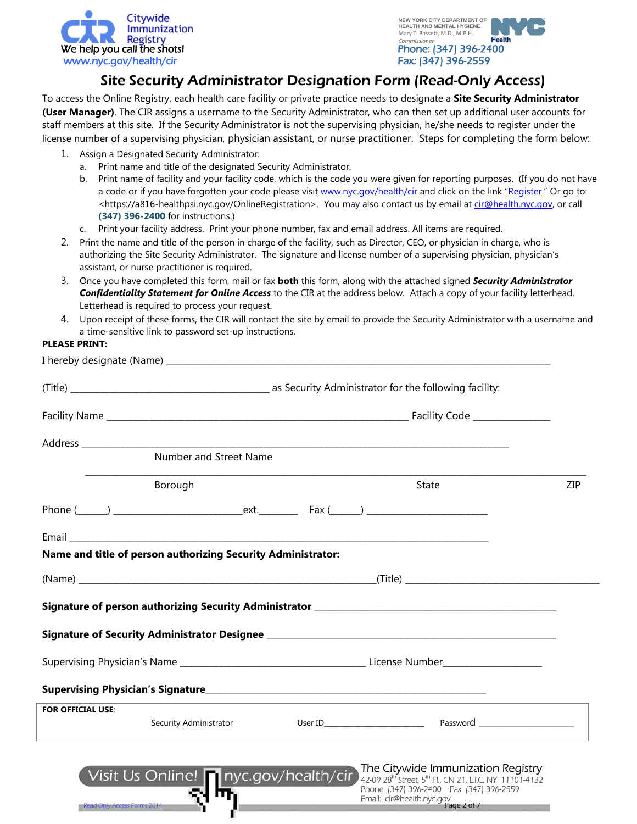



## Site Security Administrator Designation Form (Read-Only Access)

To access the Online Registry, each health care facility or private practice needs to designate a **Site Security Administrator (User Manager)**. The CIR assigns a username to the Security Administrator, who can then set up additional user accounts for staff members at this site. If the Security Administrator is not the supervising physician, he/she needs to register under the license number of a supervising physician, physician assistant, or nurse practitioner. Steps for completing the form below:

- 1. Assign a Designated Security Administrator:
	- a. Print name and title of the designated Security Administrator.
	- b. Print name of facility and your facility code, which is the code you were given for reporting purposes. (If you do not have a code or if you have forgotten your code please visit [www.nyc.gov/health/cir](http://www.nyc.gov/health/cir) and click on the link ["Register."](mailto:Register) Or go to: <https://a816-healthpsi.nyc.gov/OnlineRegistration>. You may also contact us by email at [cir@health.nyc.gov,](mailto:cir@health.nyc.gov) or call **(347) 396-2400** for instructions.)
	- c. Print your facility address. Print your phone number, fax and email address. All items are required.
- 2. Print the name and title of the person in charge of the facility, such as Director, CEO, or physician in charge, who is authorizing the Site Security Administrator. The signature and license number of a supervising physician, physician's assistant, or nurse practitioner is required.
- 3. Once you have completed this form, mail or fax **both** this form, along with the attached signed *Security Administrator Confidentiality Statement for Online Access* to the CIR at the address below*.* Attach a copy of your facility letterhead. Letterhead is required to process your request.
- 4. Upon receipt of these forms, the CIR will contact the site by email to provide the Security Administrator with a username and a time-sensitive link to password set-up instructions.

#### **PLEASE PRINT:**

|                            | Number and Street Name                                       |  |  |                                                                                                                    |     |
|----------------------------|--------------------------------------------------------------|--|--|--------------------------------------------------------------------------------------------------------------------|-----|
|                            | Borough                                                      |  |  | State                                                                                                              | ZIP |
|                            |                                                              |  |  |                                                                                                                    |     |
|                            |                                                              |  |  |                                                                                                                    |     |
|                            | Name and title of person authorizing Security Administrator: |  |  |                                                                                                                    |     |
|                            |                                                              |  |  |                                                                                                                    |     |
|                            |                                                              |  |  |                                                                                                                    |     |
|                            |                                                              |  |  |                                                                                                                    |     |
|                            |                                                              |  |  |                                                                                                                    |     |
|                            |                                                              |  |  |                                                                                                                    |     |
| <b>FOR OFFICIAL USE:</b>   |                                                              |  |  |                                                                                                                    |     |
|                            |                                                              |  |  |                                                                                                                    |     |
|                            |                                                              |  |  | Visit Us Online! nyc.gov/health/cir The Citywide Immunization Registry<br>Phone (347) 396-2400  Fax (347) 396-2559 |     |
| ead-Only Access Forms 2014 |                                                              |  |  | Email: cir@health.nyc.gov<br>Email: cir@health.nyc.gov                                                             |     |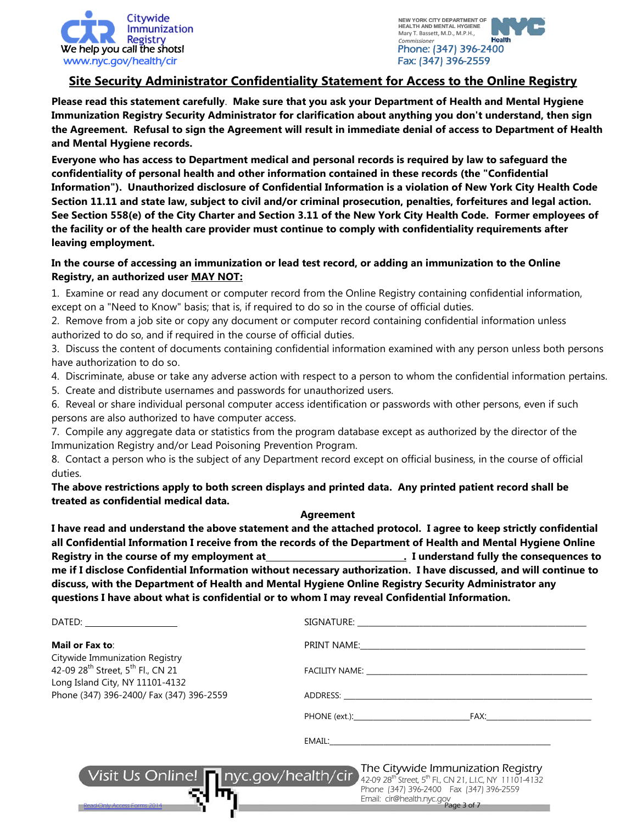



### **Site Security Administrator Confidentiality Statement for Access to the Online Registry**

**Please read this statement carefully**. **Make sure that you ask your Department of Health and Mental Hygiene Immunization Registry Security Administrator for clarification about anything you don't understand, then sign the Agreement. Refusal to sign the Agreement will result in immediate denial of access to Department of Health and Mental Hygiene records.**

**Everyone who has access to Department medical and personal records is required by law to safeguard the confidentiality of personal health and other information contained in these records (the "Confidential Information"). Unauthorized disclosure of Confidential Information is a violation of New York City Health Code Section 11.11 and state law, subject to civil and/or criminal prosecution, penalties, forfeitures and legal action. See Section 558(e) of the City Charter and Section 3.11 of the New York City Health Code. Former employees of the facility or of the health care provider must continue to comply with confidentiality requirements after leaving employment.**

#### **In the course of accessing an immunization or lead test record, or adding an immunization to the Online Registry, an authorized user MAY NOT:**

1. Examine or read any document or computer record from the Online Registry containing confidential information, except on a "Need to Know" basis; that is, if required to do so in the course of official duties.

2. Remove from a job site or copy any document or computer record containing confidential information unless authorized to do so, and if required in the course of official duties.

3. Discuss the content of documents containing confidential information examined with any person unless both persons have authorization to do so.

- 4. Discriminate, abuse or take any adverse action with respect to a person to whom the confidential information pertains.
- 5. Create and distribute usernames and passwords for unauthorized users.

6. Reveal or share individual personal computer access identification or passwords with other persons, even if such persons are also authorized to have computer access.

7. Compile any aggregate data or statistics from the program database except as authorized by the director of the Immunization Registry and/or Lead Poisoning Prevention Program.

8. Contact a person who is the subject of any Department record except on official business, in the course of official duties.

**The above restrictions apply to both screen displays and printed data. Any printed patient record shall be treated as confidential medical data.**

#### **Agreement**

**I have read and understand the above statement and the attached protocol. I agree to keep strictly confidential all Confidential Information I receive from the records of the Department of Health and Mental Hygiene Online Registry in the course of my employment at ... I understand fully the consequences to me if I disclose Confidential Information without necessary authorization. I have discussed, and will continue to discuss, with the Department of Health and Mental Hygiene Online Registry Security Administrator any questions I have about what is confidential or to whom I may reveal Confidential Information.**

| DATED: _____________________                                                                                                   |                                                                                                                                                                                                                                |  |  |
|--------------------------------------------------------------------------------------------------------------------------------|--------------------------------------------------------------------------------------------------------------------------------------------------------------------------------------------------------------------------------|--|--|
| Mail or Fax to:                                                                                                                | PRINT NAME: THE RESERVE THAT IS NOT THE RESERVE THAT IS NOT THE RESERVE THAT IS NOT THE RESERVE THAT IS NOT THE RESERVE THAT IS NOT THE RESERVE THAT IS NOT THE RESERVE THAT IS NOT THE RESERVE THAT IS NOT THE RESERVE THAT I |  |  |
| Citywide Immunization Registry<br>42-09 28 <sup>th</sup> Street, 5 <sup>th</sup> Fl., CN 21<br>Long Island City, NY 11101-4132 |                                                                                                                                                                                                                                |  |  |
| Phone (347) 396-2400/ Fax (347) 396-2559                                                                                       | ADDRESS: AND THE CONTROL OF THE CONTROL OF THE CONTROL OF THE CONTROL OF THE CONTROL OF THE CONTROL OF THE CONTROL OF THE CONTROL OF THE CONTROL OF THE CONTROL OF THE CONTROL OF THE CONTROL OF THE CONTROL OF THE CONTROL OF |  |  |
|                                                                                                                                | PHONE (ext.): FAX:                                                                                                                                                                                                             |  |  |
|                                                                                                                                |                                                                                                                                                                                                                                |  |  |
| Visit Us Online! nyc.gov/health/cir<br>ead-Only Access Forms 2014                                                              | The Citywide Immunization Registry<br>42-09 28 <sup>th</sup> Street, 5 <sup>th</sup> Fl., CN 21, LI.C, NY 11101-4132<br>Phone (347) 396-2400  Fax (347) 396-2559<br>Email: cir@health.nyc.gov                                  |  |  |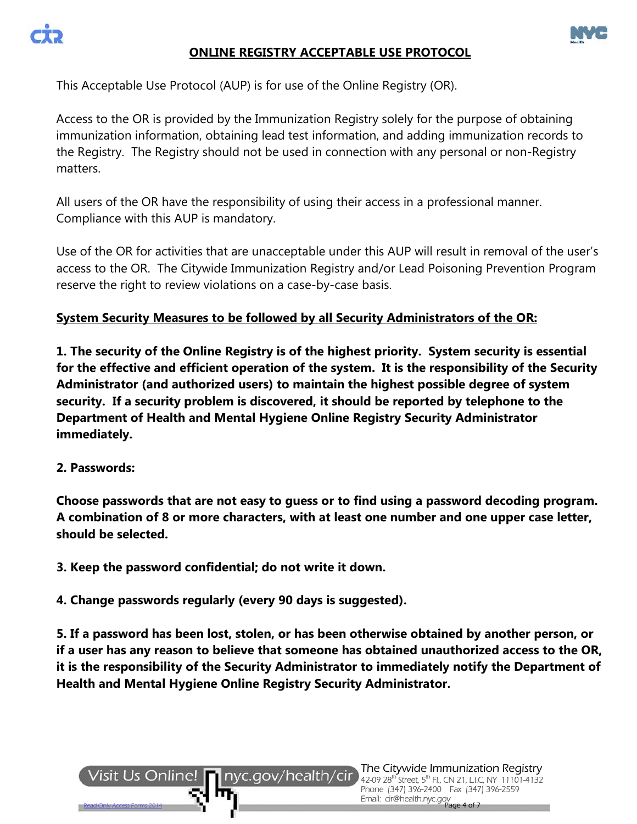



### **ONLINE REGISTRY ACCEPTABLE USE PROTOCOL**

This Acceptable Use Protocol (AUP) is for use of the Online Registry (OR).

Access to the OR is provided by the Immunization Registry solely for the purpose of obtaining immunization information, obtaining lead test information, and adding immunization records to the Registry. The Registry should not be used in connection with any personal or non-Registry matters.

All users of the OR have the responsibility of using their access in a professional manner. Compliance with this AUP is mandatory.

Use of the OR for activities that are unacceptable under this AUP will result in removal of the user's access to the OR. The Citywide Immunization Registry and/or Lead Poisoning Prevention Program reserve the right to review violations on a case-by-case basis.

### **System Security Measures to be followed by all Security Administrators of the OR:**

**1. The security of the Online Registry is of the highest priority. System security is essential for the effective and efficient operation of the system. It is the responsibility of the Security Administrator (and authorized users) to maintain the highest possible degree of system security. If a security problem is discovered, it should be reported by telephone to the Department of Health and Mental Hygiene Online Registry Security Administrator immediately.** 

### **2. Passwords:**

**Choose passwords that are not easy to guess or to find using a password decoding program. A combination of 8 or more characters, with at least one number and one upper case letter, should be selected.**

**3. Keep the password confidential; do not write it down.**

**4. Change passwords regularly (every 90 days is suggested).**

**5. If a password has been lost, stolen, or has been otherwise obtained by another person, or if a user has any reason to believe that someone has obtained unauthorized access to the OR, it is the responsibility of the Security Administrator to immediately notify the Department of Health and Mental Hygiene Online Registry Security Administrator.**

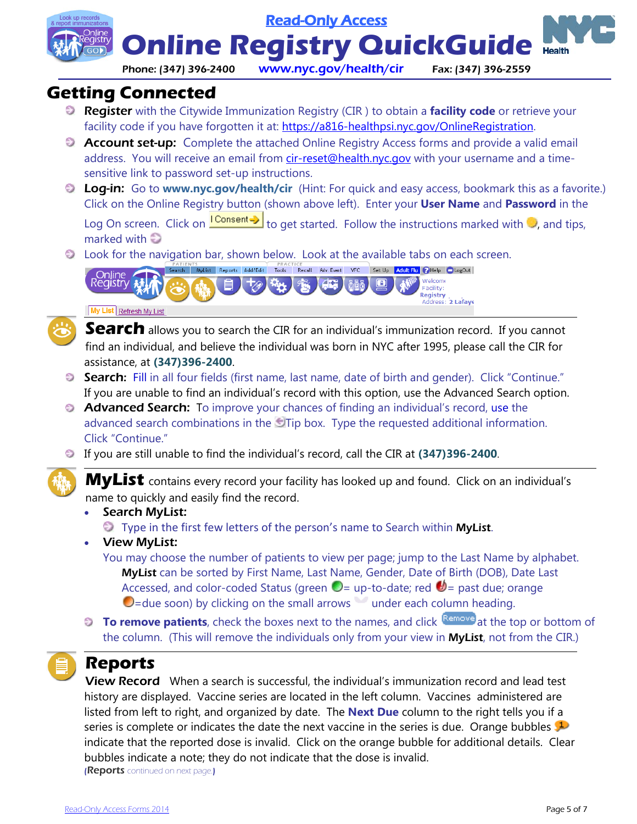Read-Only Access

**Online Registry QuickGuide** 

#### Phone: (347) 396-2400 www.nyc.gov/health/cir Fax: (347) 396-2559

**Health** 

## **Getting Connected**

- Register with the Citywide Immunization Registry (CIR ) to obtain a **facility code** or retrieve your facility code if you have forgotten it at: [https://a816-healthpsi.nyc.gov/OnlineRegistration.](https://a816-healthpsi.nyc.gov/OnlineRegistration)
- **Account set-up:** Complete the attached Online Registry Access forms and provide a valid email address. You will receive an email from [cir-reset@health.nyc.gov](mailto:cir-reset@health.nyc.gov) with your username and a timesensitive link to password set-up instructions.
- Log-in:Go to **www.nyc.gov/health/cir** (Hint: For quick and easy access, bookmark this as a favorite.) Click on the Online Registry button (shown above left). Enter your **User Name** and **Password** in the Log On screen. Click on  $\frac{1 \text{Constant}}{1}$  to get started. Follow the instructions marked with  $\odot$ , and tips, marked with
- Look for the navigation bar, shown below. Look at the available tabs on each screen.





My List Refresh My List



**Search** allows you to search the CIR for an individual's immunization record. If you cannot find an individual, and believe the individual was born in NYC after 1995, please call the CIR for assistance, at **(347)396-2400**.

- Search: Fill in all four fields (first name, last name, date of birth and gender). Click "Continue." If you are unable to find an individual's record with this option, use the Advanced Search option.
- **Advanced Search:** To improve your chances of finding an individual's record, use the advanced search combinations in the Tip box. Type the requested additional information. Click "Continue."
- If you are still unable to find the individual's record, call the CIR at **(347)396-2400**.



**MyList** contains every record your facility has looked up and found. Click on an individual's name to quickly and easily find the record.

- Search MyList:
	- $\bullet$  Type in the first few letters of the person's name to Search within **MyList**.
- View MyList:
	- You may choose the number of patients to view per page; jump to the Last Name by alphabet. MyList can be sorted by First Name, Last Name, Gender, Date of Birth (DOB), Date Last Accessed, and color-coded Status (green  $\bullet$  = up-to-date; red  $\bullet$  = past due; orange  $\bigcirc$ =due soon) by clicking on the small arrows under each column heading.
- **To remove patients**, check the boxes next to the names, and click **Remove** at the top or bottom of the column. (This will remove the individuals only from your view in MyList, not from the CIR.)

# **Reports**

**View Record** When a search is successful, the individual's immunization record and lead test history are displayed. Vaccine series are located in the left column. Vaccines administered are listed from left to right, and organized by date. The **Next Due** column to the right tells you if a seriesis complete or indicates the date the next vaccine in the series is due. Orange bubbles indicate that the reported dose is invalid. Click on the orange bubble for additional details. Clear bubbles indicate a note; they do not indicate that the dose is invalid. **(Reports** continued on next page.)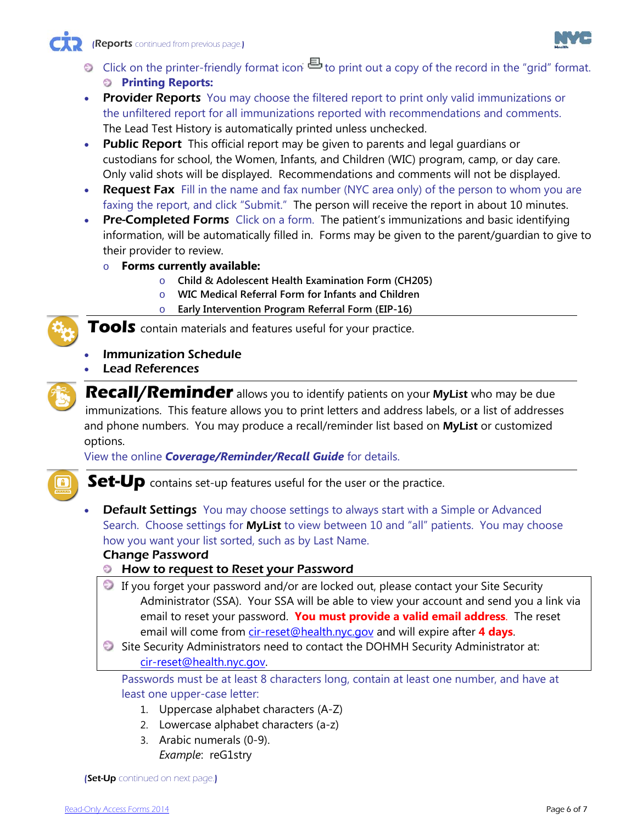

- Click o[n](https://a816-ftssl.nyc.gov/provider-client/servlet/PC?PCFunction=PrintableImmSheet&printable=true) the printer-friendly format icon  $\Xi$  to print out a copy of the record in the "grid" format. **Printing Reports:**
- **Provider Reports** You may choose the filtered report to print only valid immunizations or the unfiltered report for all immunizations reported with recommendations and comments. The Lead Test History is automatically printed unless unchecked.
- Public Report This official report may be given to parents and legal quardians or custodians for school, the Women, Infants, and Children (WIC) program, camp, or day care. Only valid shots will be displayed. Recommendations and comments will not be displayed.
- Request Fax Fill in the name and fax number (NYC area only) of the person to whom you are faxing the report, and click "Submit." The person will receive the report in about 10 minutes.
- **Pre-Completed Forms** Click on a form. The patient's immunizations and basic identifying information, will be automatically filled in. Forms may be given to the parent/guardian to give to their provider to review.
	- o **Forms currently available:** 
		- o **Child & Adolescent Health Examination Form (CH205)**
		- o **WIC Medical Referral Form for Infants and Children**
		- o **Early Intervention Program Referral Form (EIP-16)**

**Tools** contain materials and features useful for your practice.

- Immunization Schedule
- Lead References



**Recall/Reminder** allows you to identify patients on your MyList who may be due immunizations. This feature allows you to print letters and address labels, or a list of addresses and phone numbers. You may produce a recall/reminder list based on **MyList** or customized options.

View the online *Coverage/Reminder/Recall Guide* for details.



**Set-Up** contains set-up features useful for the user or the practice.

• Default Settings You may choose settings to always start with a Simple or Advanced Search. Choose settings for MyList to view between 10 and "all" patients. You may choose how you want your list sorted, such as by Last Name.

Change Password

- How to request to Reset your Password
- If you forget your password and/or are locked out, please contact your Site Security Administrator (SSA). Your SSA will be able to view your account and send you a link via email to reset your password. **You must provide a valid email address**. The reset email will come from [cir-reset@health.nyc.gov](mailto:cir-reset@health.nyc.gov) and will expire after **4 days**.
- Site Security Administrators need to contact the DOHMH Security Administrator at: [cir-reset@health.nyc.gov.](mailto:cir-reset@health.nyc.gov)

Passwords must be at least 8 characters long, contain at least one number, and have at least one upper-case letter:

- 1. Uppercase alphabet characters (A-Z)
- 2. Lowercase alphabet characters (a-z)
- 3. Arabic numerals (0-9).
	- *Example*: reG1stry

(Set-Up continued on next page.)